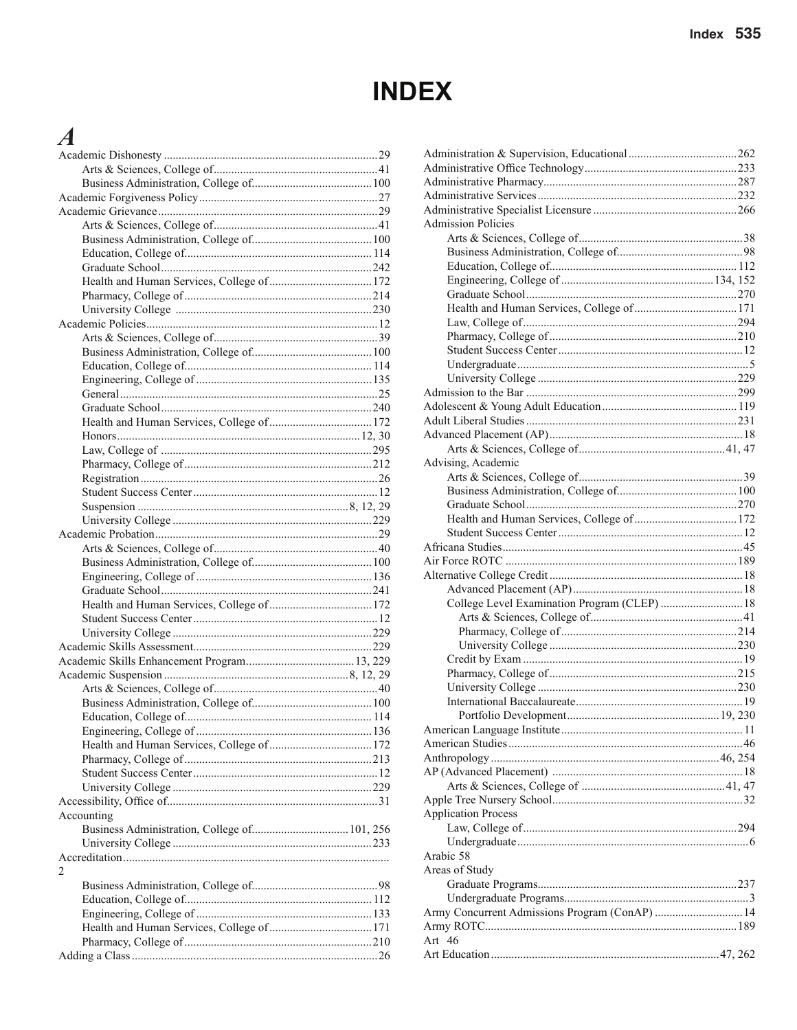# **INDEX**

## $\overline{A}$

| Accounting |  |
|------------|--|
|            |  |
|            |  |
|            |  |
| 2          |  |
|            |  |
|            |  |
|            |  |
|            |  |
|            |  |
|            |  |
|            |  |

| <b>Admission Policies</b>                      |  |
|------------------------------------------------|--|
|                                                |  |
|                                                |  |
|                                                |  |
|                                                |  |
|                                                |  |
|                                                |  |
|                                                |  |
|                                                |  |
|                                                |  |
|                                                |  |
|                                                |  |
|                                                |  |
|                                                |  |
|                                                |  |
|                                                |  |
|                                                |  |
|                                                |  |
| Advising, Academic                             |  |
|                                                |  |
|                                                |  |
|                                                |  |
|                                                |  |
|                                                |  |
|                                                |  |
|                                                |  |
|                                                |  |
|                                                |  |
|                                                |  |
| College Level Examination Program (CLEP)  18   |  |
|                                                |  |
|                                                |  |
|                                                |  |
|                                                |  |
|                                                |  |
|                                                |  |
|                                                |  |
|                                                |  |
|                                                |  |
|                                                |  |
|                                                |  |
|                                                |  |
|                                                |  |
|                                                |  |
| <b>Application Process</b>                     |  |
|                                                |  |
|                                                |  |
| Arabic 58                                      |  |
| Areas of Study                                 |  |
|                                                |  |
|                                                |  |
| Army Concurrent Admissions Program (ConAP)  14 |  |
|                                                |  |
| Art $46$                                       |  |
|                                                |  |
|                                                |  |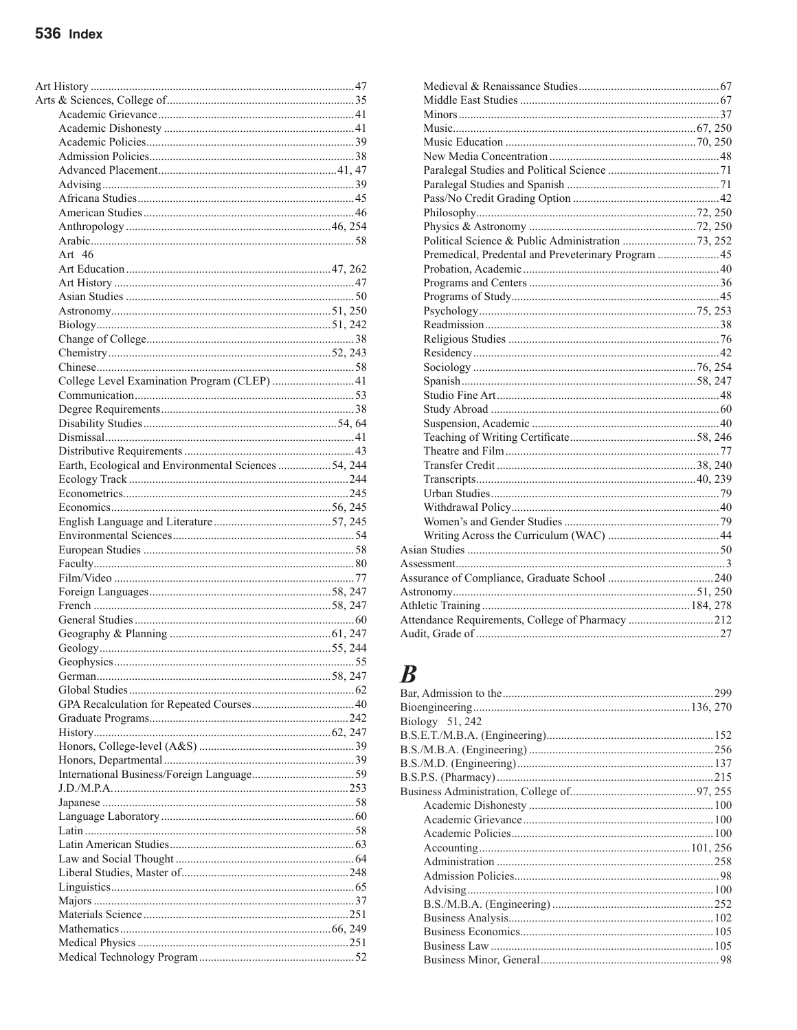| Art $46$                                             |  |
|------------------------------------------------------|--|
|                                                      |  |
|                                                      |  |
|                                                      |  |
|                                                      |  |
|                                                      |  |
|                                                      |  |
|                                                      |  |
|                                                      |  |
| College Level Examination Program (CLEP)  41         |  |
|                                                      |  |
|                                                      |  |
|                                                      |  |
|                                                      |  |
|                                                      |  |
| Earth, Ecological and Environmental Sciences 54, 244 |  |
|                                                      |  |
|                                                      |  |
|                                                      |  |
|                                                      |  |
|                                                      |  |
|                                                      |  |
|                                                      |  |
|                                                      |  |
|                                                      |  |
|                                                      |  |
|                                                      |  |
|                                                      |  |
|                                                      |  |
|                                                      |  |
|                                                      |  |
|                                                      |  |
|                                                      |  |
|                                                      |  |
|                                                      |  |
|                                                      |  |
|                                                      |  |
|                                                      |  |
|                                                      |  |
|                                                      |  |
|                                                      |  |
|                                                      |  |
|                                                      |  |
|                                                      |  |
|                                                      |  |
|                                                      |  |
|                                                      |  |
|                                                      |  |
|                                                      |  |
|                                                      |  |
|                                                      |  |

| Premedical, Predental and Preveterinary Program  45 |  |
|-----------------------------------------------------|--|
|                                                     |  |
|                                                     |  |
|                                                     |  |
|                                                     |  |
|                                                     |  |
|                                                     |  |
|                                                     |  |
|                                                     |  |
|                                                     |  |
|                                                     |  |
|                                                     |  |
|                                                     |  |
|                                                     |  |
|                                                     |  |
|                                                     |  |
|                                                     |  |
|                                                     |  |
|                                                     |  |
|                                                     |  |
|                                                     |  |
|                                                     |  |
|                                                     |  |
|                                                     |  |
|                                                     |  |
|                                                     |  |
| Attendance Requirements, College of Pharmacy 212    |  |
|                                                     |  |
|                                                     |  |

## $\boldsymbol{B}$

| Biology 51, 242 |  |
|-----------------|--|
|                 |  |
|                 |  |
|                 |  |
|                 |  |
|                 |  |
|                 |  |
|                 |  |
|                 |  |
|                 |  |
|                 |  |
|                 |  |
|                 |  |
|                 |  |
|                 |  |
|                 |  |
|                 |  |
|                 |  |
|                 |  |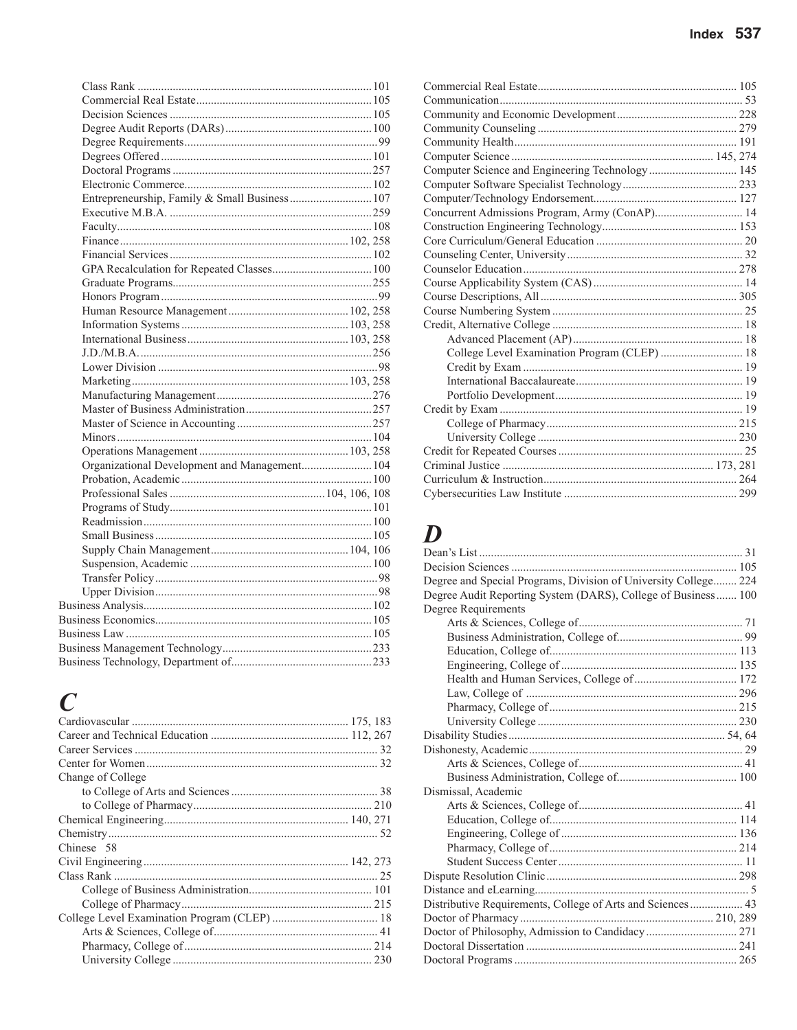| Entrepreneurship, Family & Small Business 107 |
|-----------------------------------------------|
|                                               |
|                                               |
|                                               |
|                                               |
|                                               |
|                                               |
|                                               |
|                                               |
|                                               |
|                                               |
|                                               |
|                                               |
|                                               |
|                                               |
|                                               |
|                                               |
|                                               |
|                                               |
|                                               |
|                                               |
|                                               |
|                                               |
|                                               |
|                                               |
|                                               |
|                                               |
| Organizational Development and Management 104 |
|                                               |
|                                               |
|                                               |
|                                               |
|                                               |
|                                               |
|                                               |
|                                               |
|                                               |
|                                               |
|                                               |
|                                               |
|                                               |
|                                               |

## $\boldsymbol{C}$

| Change of College |  |
|-------------------|--|
|                   |  |
|                   |  |
|                   |  |
|                   |  |
| Chinese 58        |  |
|                   |  |
|                   |  |
|                   |  |
|                   |  |
|                   |  |
|                   |  |
|                   |  |
|                   |  |
|                   |  |

| Computer Science and Engineering Technology  145 |  |
|--------------------------------------------------|--|
|                                                  |  |
|                                                  |  |
| Concurrent Admissions Program, Army (ConAP) 14   |  |
|                                                  |  |
|                                                  |  |
|                                                  |  |
|                                                  |  |
|                                                  |  |
|                                                  |  |
|                                                  |  |
|                                                  |  |
|                                                  |  |
| College Level Examination Program (CLEP)  18     |  |
|                                                  |  |
|                                                  |  |
|                                                  |  |
|                                                  |  |
|                                                  |  |
|                                                  |  |
|                                                  |  |
|                                                  |  |
|                                                  |  |
|                                                  |  |
|                                                  |  |

## $\boldsymbol{D}$

| Degree and Special Programs, Division of University College 224 |  |
|-----------------------------------------------------------------|--|
| Degree Audit Reporting System (DARS), College of Business  100  |  |
| Degree Requirements                                             |  |
|                                                                 |  |
|                                                                 |  |
|                                                                 |  |
|                                                                 |  |
|                                                                 |  |
|                                                                 |  |
|                                                                 |  |
|                                                                 |  |
|                                                                 |  |
|                                                                 |  |
|                                                                 |  |
|                                                                 |  |
| Dismissal, Academic                                             |  |
|                                                                 |  |
|                                                                 |  |
|                                                                 |  |
|                                                                 |  |
|                                                                 |  |
|                                                                 |  |
|                                                                 |  |
| Distributive Requirements, College of Arts and Sciences 43      |  |
|                                                                 |  |
|                                                                 |  |
|                                                                 |  |
|                                                                 |  |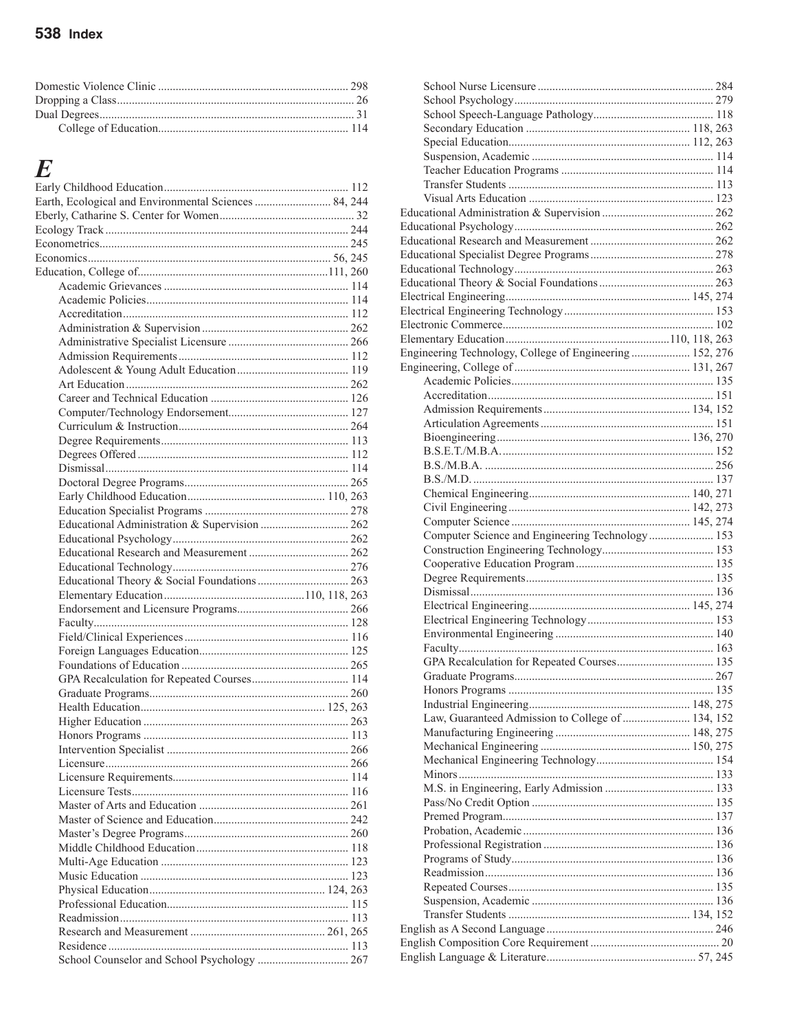| F                                                     |  |
|-------------------------------------------------------|--|
|                                                       |  |
|                                                       |  |
| Earth, Ecological and Environmental Sciences  84, 244 |  |
|                                                       |  |
|                                                       |  |
|                                                       |  |
|                                                       |  |
|                                                       |  |
|                                                       |  |
|                                                       |  |
|                                                       |  |
|                                                       |  |
|                                                       |  |
|                                                       |  |
|                                                       |  |
|                                                       |  |
|                                                       |  |
|                                                       |  |
|                                                       |  |
|                                                       |  |
|                                                       |  |
|                                                       |  |
|                                                       |  |
|                                                       |  |
|                                                       |  |
| Educational Administration & Supervision  262         |  |
|                                                       |  |
|                                                       |  |
|                                                       |  |
|                                                       |  |
|                                                       |  |
|                                                       |  |
|                                                       |  |
|                                                       |  |
|                                                       |  |
|                                                       |  |
| GPA Recalculation for Repeated Courses 114            |  |
|                                                       |  |
|                                                       |  |
|                                                       |  |
|                                                       |  |
|                                                       |  |
|                                                       |  |
|                                                       |  |
|                                                       |  |
|                                                       |  |
|                                                       |  |
|                                                       |  |
|                                                       |  |
|                                                       |  |
|                                                       |  |
|                                                       |  |
|                                                       |  |
|                                                       |  |
|                                                       |  |
|                                                       |  |
|                                                       |  |
| School Counselor and School Psychology  267           |  |

| Engineering Technology, College of Engineering  152, 276 |  |
|----------------------------------------------------------|--|
|                                                          |  |
|                                                          |  |
|                                                          |  |
|                                                          |  |
|                                                          |  |
|                                                          |  |
|                                                          |  |
|                                                          |  |
|                                                          |  |
|                                                          |  |
|                                                          |  |
|                                                          |  |
| Computer Science and Engineering Technology 153          |  |
|                                                          |  |
|                                                          |  |
|                                                          |  |
|                                                          |  |
|                                                          |  |
|                                                          |  |
|                                                          |  |
|                                                          |  |
|                                                          |  |
|                                                          |  |
|                                                          |  |
|                                                          |  |
| Law, Guaranteed Admission to College of  134, 152        |  |
|                                                          |  |
|                                                          |  |
|                                                          |  |
|                                                          |  |
|                                                          |  |
|                                                          |  |
|                                                          |  |
|                                                          |  |
|                                                          |  |
|                                                          |  |
|                                                          |  |
|                                                          |  |
|                                                          |  |
|                                                          |  |
|                                                          |  |
|                                                          |  |
|                                                          |  |
|                                                          |  |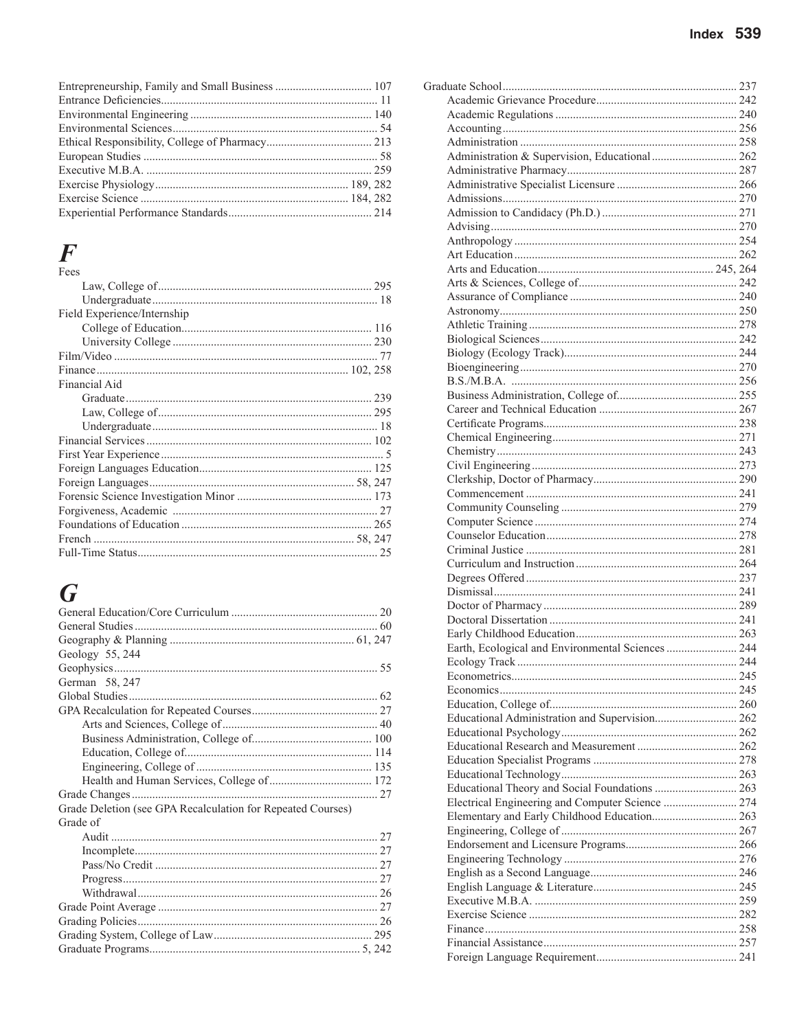## $\boldsymbol{F}$

| Fees                        |  |
|-----------------------------|--|
|                             |  |
|                             |  |
| Field Experience/Internship |  |
|                             |  |
|                             |  |
|                             |  |
|                             |  |
| Financial Aid               |  |
|                             |  |
|                             |  |
|                             |  |
|                             |  |
|                             |  |
|                             |  |
|                             |  |
|                             |  |
|                             |  |
|                             |  |
|                             |  |
|                             |  |

# $\boldsymbol{G}$

| Geology 55, 244                                             |  |
|-------------------------------------------------------------|--|
|                                                             |  |
| German 58, 247                                              |  |
|                                                             |  |
|                                                             |  |
|                                                             |  |
|                                                             |  |
|                                                             |  |
|                                                             |  |
|                                                             |  |
|                                                             |  |
| Grade Deletion (see GPA Recalculation for Repeated Courses) |  |
| Grade of                                                    |  |
|                                                             |  |
|                                                             |  |
|                                                             |  |
|                                                             |  |
|                                                             |  |
|                                                             |  |
|                                                             |  |
|                                                             |  |
|                                                             |  |

| Administration & Supervision, Educational  262    |  |
|---------------------------------------------------|--|
|                                                   |  |
|                                                   |  |
|                                                   |  |
|                                                   |  |
|                                                   |  |
|                                                   |  |
|                                                   |  |
|                                                   |  |
|                                                   |  |
|                                                   |  |
|                                                   |  |
|                                                   |  |
|                                                   |  |
|                                                   |  |
|                                                   |  |
|                                                   |  |
|                                                   |  |
|                                                   |  |
|                                                   |  |
|                                                   |  |
|                                                   |  |
|                                                   |  |
|                                                   |  |
|                                                   |  |
|                                                   |  |
|                                                   |  |
|                                                   |  |
|                                                   |  |
|                                                   |  |
|                                                   |  |
|                                                   |  |
|                                                   |  |
|                                                   |  |
|                                                   |  |
| Earth, Ecological and Environmental Sciences  244 |  |
| Ecology Track                                     |  |
|                                                   |  |
|                                                   |  |
|                                                   |  |
| Educational Administration and Supervision 262    |  |
|                                                   |  |
|                                                   |  |
|                                                   |  |
|                                                   |  |
| Educational Theory and Social Foundations  263    |  |
| Electrical Engineering and Computer Science  274  |  |
|                                                   |  |
|                                                   |  |
|                                                   |  |
|                                                   |  |
|                                                   |  |
|                                                   |  |
|                                                   |  |
|                                                   |  |
|                                                   |  |
|                                                   |  |
|                                                   |  |
|                                                   |  |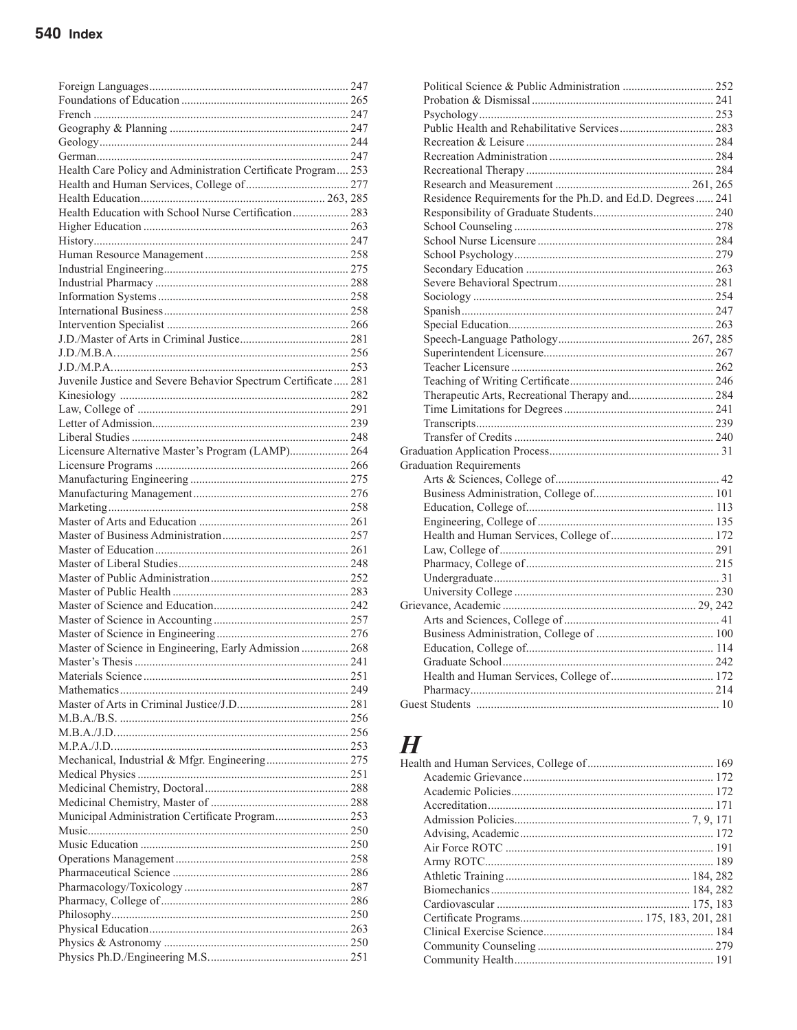| Health Care Policy and Administration Certificate Program 253 |  |
|---------------------------------------------------------------|--|
|                                                               |  |
|                                                               |  |
|                                                               |  |
| Health Education with School Nurse Certification 283          |  |
|                                                               |  |
|                                                               |  |
|                                                               |  |
|                                                               |  |
|                                                               |  |
|                                                               |  |
|                                                               |  |
|                                                               |  |
|                                                               |  |
|                                                               |  |
|                                                               |  |
|                                                               |  |
| Juvenile Justice and Severe Behavior Spectrum Certificate 281 |  |
|                                                               |  |
|                                                               |  |
|                                                               |  |
|                                                               |  |
| Licensure Alternative Master's Program (LAMP) 264             |  |
|                                                               |  |
|                                                               |  |
|                                                               |  |
|                                                               |  |
|                                                               |  |
|                                                               |  |
|                                                               |  |
|                                                               |  |
|                                                               |  |
|                                                               |  |
|                                                               |  |
|                                                               |  |
|                                                               |  |
|                                                               |  |
|                                                               |  |
| Master of Science in Engineering, Early Admission  268        |  |
|                                                               |  |
|                                                               |  |
|                                                               |  |
|                                                               |  |
|                                                               |  |
|                                                               |  |
|                                                               |  |
|                                                               |  |
|                                                               |  |
|                                                               |  |
|                                                               |  |
|                                                               |  |
| Municipal Administration Certificate Program 253              |  |
|                                                               |  |
|                                                               |  |
|                                                               |  |
|                                                               |  |
|                                                               |  |
|                                                               |  |
|                                                               |  |
|                                                               |  |
|                                                               |  |
|                                                               |  |
|                                                               |  |

| Residence Requirements for the Ph.D. and Ed.D. Degrees 241 |  |
|------------------------------------------------------------|--|
|                                                            |  |
|                                                            |  |
|                                                            |  |
|                                                            |  |
|                                                            |  |
|                                                            |  |
|                                                            |  |
|                                                            |  |
|                                                            |  |
|                                                            |  |
|                                                            |  |
|                                                            |  |
|                                                            |  |
| Therapeutic Arts, Recreational Therapy and 284             |  |
|                                                            |  |
|                                                            |  |
|                                                            |  |
|                                                            |  |
| <b>Graduation Requirements</b>                             |  |
|                                                            |  |
|                                                            |  |
|                                                            |  |
|                                                            |  |
|                                                            |  |
|                                                            |  |
|                                                            |  |
|                                                            |  |
|                                                            |  |
|                                                            |  |
|                                                            |  |
|                                                            |  |
|                                                            |  |
|                                                            |  |
|                                                            |  |
|                                                            |  |
|                                                            |  |
|                                                            |  |

# $\boldsymbol{H}$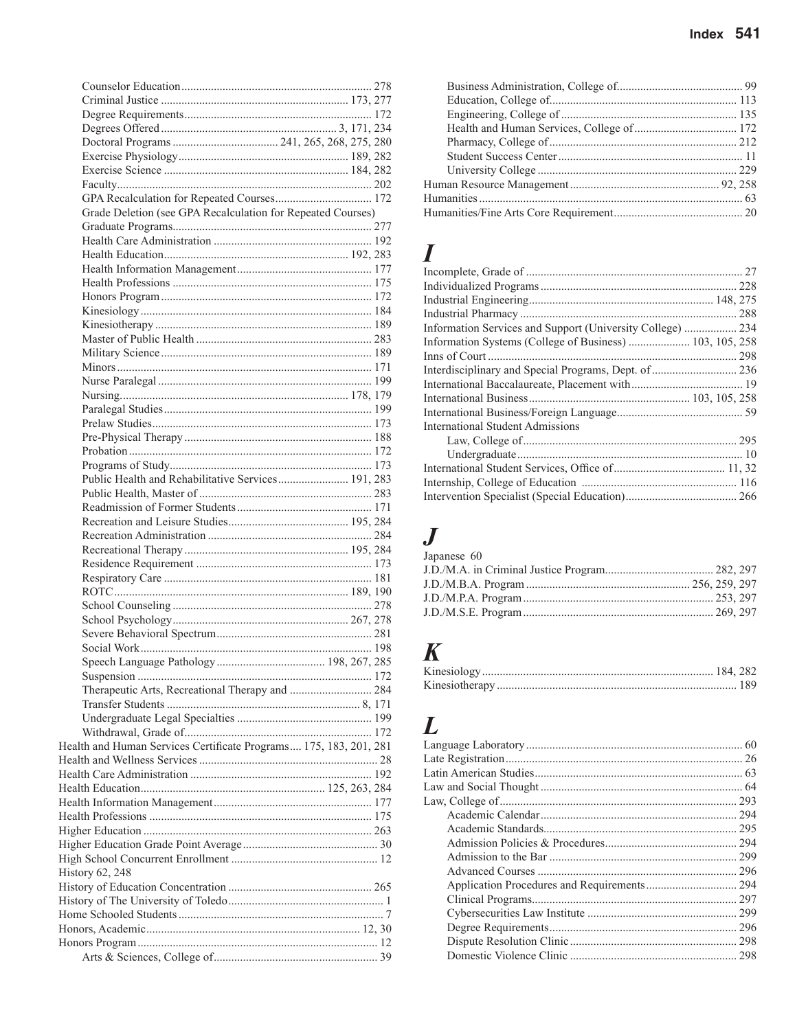| GPA Recalculation for Repeated Courses 172                        |  |
|-------------------------------------------------------------------|--|
| Grade Deletion (see GPA Recalculation for Repeated Courses)       |  |
|                                                                   |  |
|                                                                   |  |
|                                                                   |  |
|                                                                   |  |
|                                                                   |  |
|                                                                   |  |
|                                                                   |  |
|                                                                   |  |
|                                                                   |  |
|                                                                   |  |
|                                                                   |  |
|                                                                   |  |
|                                                                   |  |
|                                                                   |  |
|                                                                   |  |
|                                                                   |  |
|                                                                   |  |
|                                                                   |  |
| Public Health and Rehabilitative Services 191, 283                |  |
|                                                                   |  |
|                                                                   |  |
|                                                                   |  |
|                                                                   |  |
|                                                                   |  |
|                                                                   |  |
|                                                                   |  |
|                                                                   |  |
|                                                                   |  |
|                                                                   |  |
|                                                                   |  |
|                                                                   |  |
|                                                                   |  |
|                                                                   |  |
| Therapeutic Arts, Recreational Therapy and  284                   |  |
|                                                                   |  |
|                                                                   |  |
|                                                                   |  |
| Health and Human Services Certificate Programs 175, 183, 201, 281 |  |
|                                                                   |  |
|                                                                   |  |
|                                                                   |  |
|                                                                   |  |
|                                                                   |  |
|                                                                   |  |
|                                                                   |  |
|                                                                   |  |
| History 62, 248                                                   |  |
|                                                                   |  |
|                                                                   |  |
|                                                                   |  |
|                                                                   |  |
|                                                                   |  |
|                                                                   |  |
|                                                                   |  |

## $\boldsymbol{I}$

| Information Services and Support (University College)  234 |  |
|------------------------------------------------------------|--|
| Information Systems (College of Business)  103, 105, 258   |  |
|                                                            |  |
| Interdisciplinary and Special Programs, Dept. of  236      |  |
|                                                            |  |
|                                                            |  |
|                                                            |  |
| International Student Admissions                           |  |
|                                                            |  |
|                                                            |  |
|                                                            |  |
|                                                            |  |
|                                                            |  |

## $\boldsymbol{J}$

| Japanese 60 |  |
|-------------|--|
|             |  |
|             |  |
|             |  |
|             |  |
|             |  |

# $\boldsymbol{K}$

## $\boldsymbol{L}$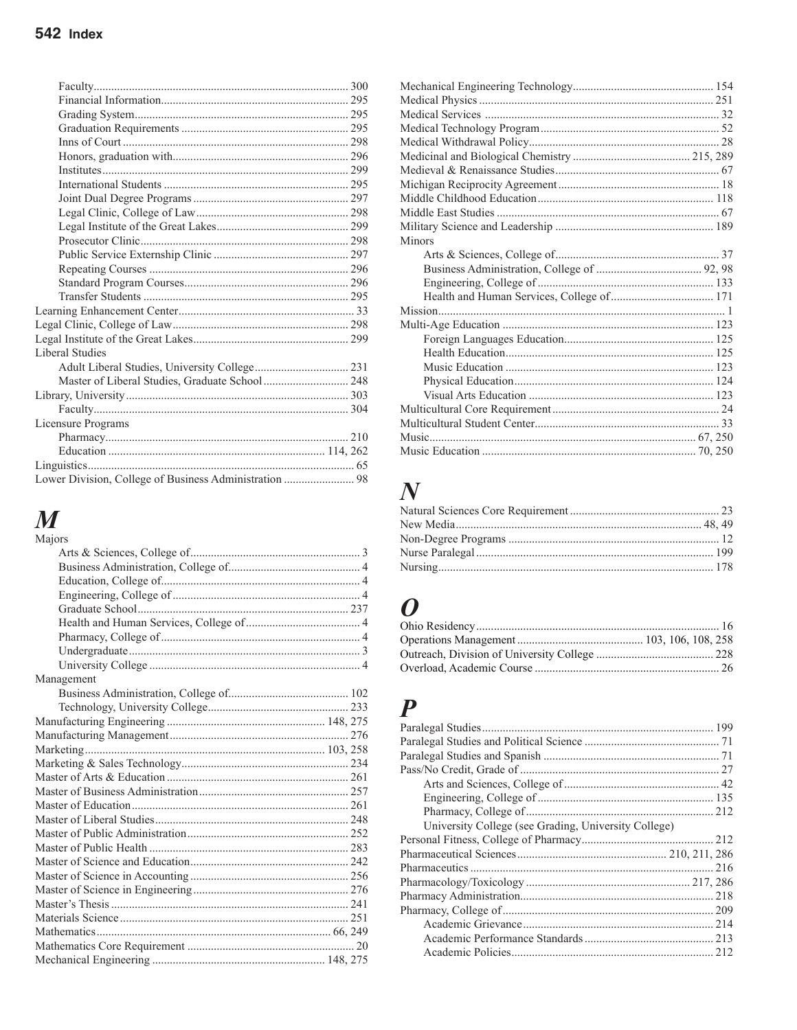| <b>Liberal Studies</b>                                 |  |
|--------------------------------------------------------|--|
|                                                        |  |
| Master of Liberal Studies, Graduate School  248        |  |
|                                                        |  |
|                                                        |  |
| Licensure Programs                                     |  |
|                                                        |  |
|                                                        |  |
|                                                        |  |
| Lower Division, College of Business Administration  98 |  |
|                                                        |  |

# $\boldsymbol{M}$

| Majors     |  |
|------------|--|
|            |  |
|            |  |
|            |  |
|            |  |
|            |  |
|            |  |
|            |  |
|            |  |
|            |  |
| Management |  |
|            |  |
|            |  |
|            |  |
|            |  |
|            |  |
|            |  |
|            |  |
|            |  |
|            |  |
|            |  |
|            |  |
|            |  |
|            |  |
|            |  |
|            |  |
|            |  |
|            |  |
|            |  |
|            |  |
|            |  |

| Minors |  |
|--------|--|
|        |  |
|        |  |
|        |  |
|        |  |
|        |  |
|        |  |
|        |  |
|        |  |
|        |  |
|        |  |
|        |  |
|        |  |
|        |  |
|        |  |
|        |  |
|        |  |

# $\overline{N}$

## $\boldsymbol{O}$

## $\overline{P}$

| University College (see Grading, University College) |  |
|------------------------------------------------------|--|
|                                                      |  |
|                                                      |  |
|                                                      |  |
|                                                      |  |
|                                                      |  |
|                                                      |  |
|                                                      |  |
|                                                      |  |
|                                                      |  |
|                                                      |  |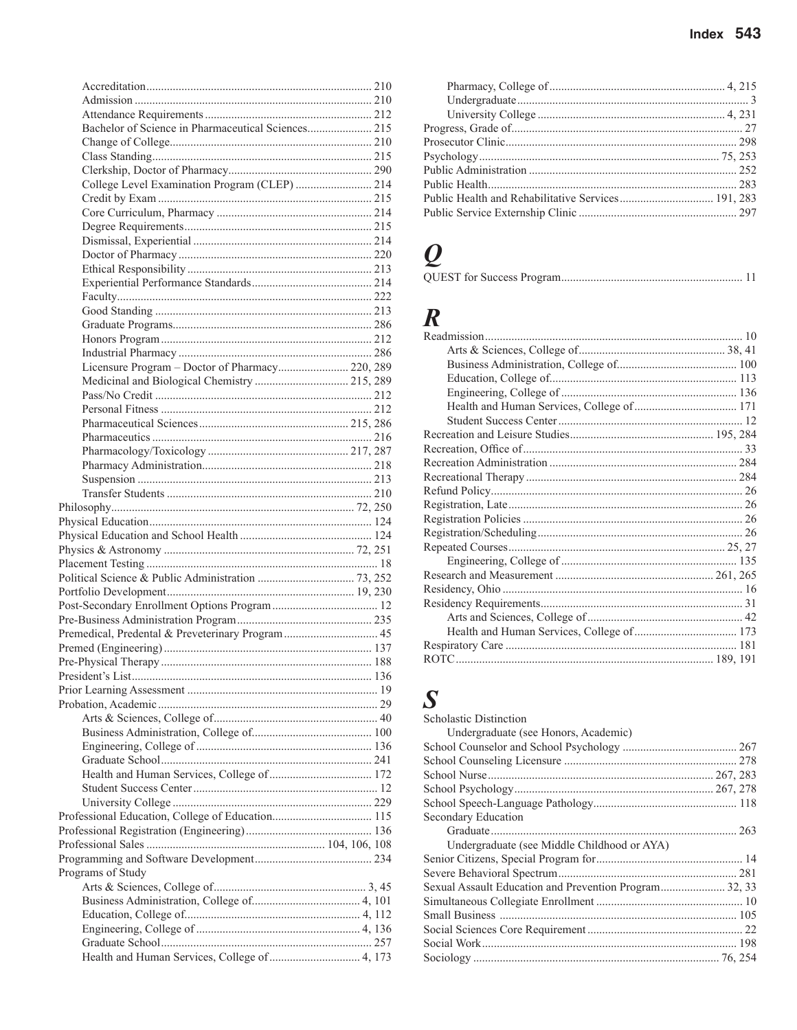| Index $543$ |  |
|-------------|--|
|             |  |
|             |  |

| Bachelor of Science in Pharmaceutical Sciences 215 |  |
|----------------------------------------------------|--|
|                                                    |  |
|                                                    |  |
|                                                    |  |
| College Level Examination Program (CLEP)  214      |  |
|                                                    |  |
|                                                    |  |
|                                                    |  |
|                                                    |  |
|                                                    |  |
|                                                    |  |
|                                                    |  |
|                                                    |  |
|                                                    |  |
|                                                    |  |
|                                                    |  |
|                                                    |  |
|                                                    |  |
| Licensure Program - Doctor of Pharmacy 220, 289    |  |
| Medicinal and Biological Chemistry  215, 289       |  |
|                                                    |  |
|                                                    |  |
|                                                    |  |
|                                                    |  |
|                                                    |  |
|                                                    |  |
|                                                    |  |
|                                                    |  |
|                                                    |  |
|                                                    |  |
|                                                    |  |
|                                                    |  |
|                                                    |  |
|                                                    |  |
|                                                    |  |
|                                                    |  |
|                                                    |  |
|                                                    |  |
| Premedical, Predental & Preveterinary Program  45  |  |
|                                                    |  |
|                                                    |  |
|                                                    |  |
|                                                    |  |
|                                                    |  |
|                                                    |  |
|                                                    |  |
|                                                    |  |
|                                                    |  |
|                                                    |  |
|                                                    |  |
|                                                    |  |
|                                                    |  |
|                                                    |  |
|                                                    |  |
|                                                    |  |
|                                                    |  |
| Programs of Study                                  |  |
|                                                    |  |
|                                                    |  |
|                                                    |  |
|                                                    |  |
|                                                    |  |
|                                                    |  |
|                                                    |  |

| Public Health and Rehabilitative Services 191, 283 |  |
|----------------------------------------------------|--|
|                                                    |  |
|                                                    |  |
|                                                    |  |
|                                                    |  |
|                                                    |  |

|--|

# $\boldsymbol{R}$

# $\boldsymbol{S}$

| <b>Scholastic Distinction</b>                          |  |
|--------------------------------------------------------|--|
| Undergraduate (see Honors, Academic)                   |  |
|                                                        |  |
|                                                        |  |
|                                                        |  |
|                                                        |  |
|                                                        |  |
| Secondary Education                                    |  |
|                                                        |  |
| Undergraduate (see Middle Childhood or AYA)            |  |
|                                                        |  |
|                                                        |  |
| Sexual Assault Education and Prevention Program 32, 33 |  |
|                                                        |  |
|                                                        |  |
|                                                        |  |
|                                                        |  |
|                                                        |  |
|                                                        |  |